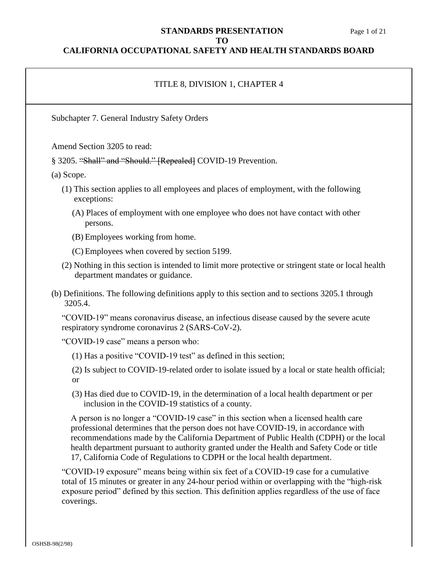#### **STANDARDS PRESENTATION** Page 1 of 21 **TO**

### **CALIFORNIA OCCUPATIONAL SAFETY AND HEALTH STANDARDS BOARD**

#### TITLE 8, DIVISION 1, CHAPTER 4

Subchapter 7. General Industry Safety Orders

Amend Section 3205 to read:

§ 3205. "Shall" and "Should." [Repealed] COVID-19 Prevention.

(a) Scope.

- (1) This section applies to all employees and places of employment, with the following exceptions:
	- (A) Places of employment with one employee who does not have contact with other persons.

(B) Employees working from home.

(C) Employees when covered by section 5199.

- (2) Nothing in this section is intended to limit more protective or stringent state or local health department mandates or guidance.
- (b) Definitions. The following definitions apply to this section and to sections 3205.1 through 3205.4.

"COVID-19" means coronavirus disease, an infectious disease caused by the severe acute respiratory syndrome coronavirus 2 (SARS-CoV-2).

"COVID-19 case" means a person who:

- (1) Has a positive "COVID-19 test" as defined in this section;
- (2) Is subject to COVID-19-related order to isolate issued by a local or state health official; or
- (3) Has died due to COVID-19, in the determination of a local health department or per inclusion in the COVID-19 statistics of a county.

A person is no longer a "COVID-19 case" in this section when a licensed health care professional determines that the person does not have COVID-19, in accordance with recommendations made by the California Department of Public Health (CDPH) or the local health department pursuant to authority granted under the Health and Safety Code or title 17, California Code of Regulations to CDPH or the local health department.

"COVID-19 exposure" means being within six feet of a COVID-19 case for a cumulative total of 15 minutes or greater in any 24-hour period within or overlapping with the "high-risk exposure period" defined by this section. This definition applies regardless of the use of face coverings.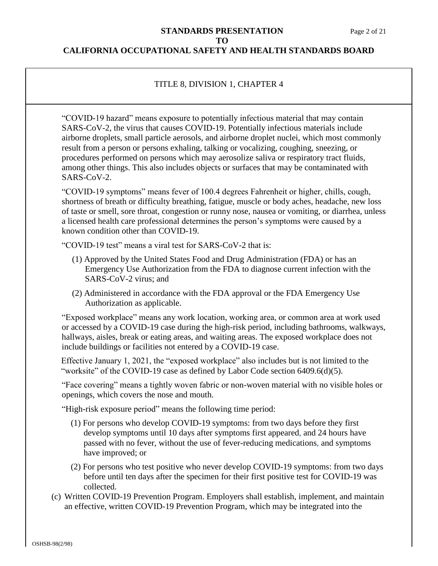#### **STANDARDS PRESENTATION** Page 2 of 21 **TO**

## **CALIFORNIA OCCUPATIONAL SAFETY AND HEALTH STANDARDS BOARD**

# TITLE 8, DIVISION 1, CHAPTER 4

"COVID-19 hazard" means exposure to potentially infectious material that may contain SARS-CoV-2, the virus that causes COVID-19. Potentially infectious materials include airborne droplets, small particle aerosols, and airborne droplet nuclei, which most commonly result from a person or persons exhaling, talking or vocalizing, coughing, sneezing, or procedures performed on persons which may aerosolize saliva or respiratory tract fluids, among other things. This also includes objects or surfaces that may be contaminated with SARS-CoV-2.

"COVID-19 symptoms" means fever of 100.4 degrees Fahrenheit or higher, chills, cough, shortness of breath or difficulty breathing, fatigue, muscle or body aches, headache, new loss of taste or smell, sore throat, congestion or runny nose, nausea or vomiting, or diarrhea, unless a licensed health care professional determines the person's symptoms were caused by a known condition other than COVID-19.

"COVID-19 test" means a viral test for SARS-CoV-2 that is:

- (1) Approved by the United States Food and Drug Administration (FDA) or has an Emergency Use Authorization from the FDA to diagnose current infection with the SARS-CoV-2 virus; and
- (2) Administered in accordance with the FDA approval or the FDA Emergency Use Authorization as applicable.

"Exposed workplace" means any work location, working area, or common area at work used or accessed by a COVID-19 case during the high-risk period, including bathrooms, walkways, hallways, aisles, break or eating areas, and waiting areas. The exposed workplace does not include buildings or facilities not entered by a COVID-19 case.

Effective January 1, 2021, the "exposed workplace" also includes but is not limited to the "worksite" of the COVID-19 case as defined by Labor Code section 6409.6(d)(5).

"Face covering" means a tightly woven fabric or non-woven material with no visible holes or openings, which covers the nose and mouth.

"High-risk exposure period" means the following time period:

- (1) For persons who develop COVID-19 symptoms: from two days before they first develop symptoms until 10 days after symptoms first appeared, and 24 hours have passed with no fever, without the use of fever-reducing medications, and symptoms have improved; or
- (2) For persons who test positive who never develop COVID-19 symptoms: from two days before until ten days after the specimen for their first positive test for COVID-19 was collected.
- (c) Written COVID-19 Prevention Program. Employers shall establish, implement, and maintain an effective, written COVID-19 Prevention Program, which may be integrated into the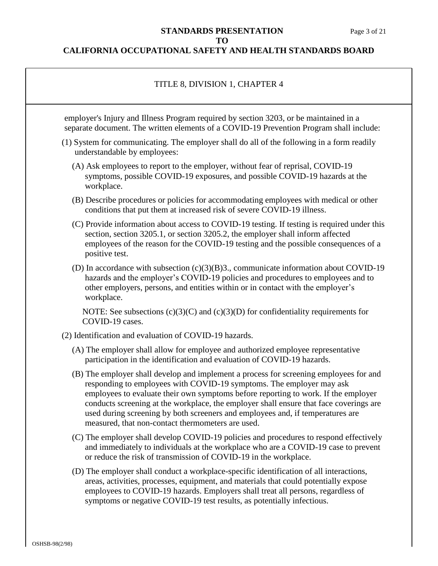### **STANDARDS PRESENTATION** Page 3 of 21 **TO**

| TITLE 8, DIVISION 1, CHAPTER 4                                                                                                                                                                                                                                                                                                                                                                                                                                                        |  |
|---------------------------------------------------------------------------------------------------------------------------------------------------------------------------------------------------------------------------------------------------------------------------------------------------------------------------------------------------------------------------------------------------------------------------------------------------------------------------------------|--|
| employer's Injury and Illness Program required by section 3203, or be maintained in a<br>separate document. The written elements of a COVID-19 Prevention Program shall include:                                                                                                                                                                                                                                                                                                      |  |
| (1) System for communicating. The employer shall do all of the following in a form readily<br>understandable by employees:                                                                                                                                                                                                                                                                                                                                                            |  |
| (A) Ask employees to report to the employer, without fear of reprisal, COVID-19<br>symptoms, possible COVID-19 exposures, and possible COVID-19 hazards at the<br>workplace.                                                                                                                                                                                                                                                                                                          |  |
| (B) Describe procedures or policies for accommodating employees with medical or other<br>conditions that put them at increased risk of severe COVID-19 illness.                                                                                                                                                                                                                                                                                                                       |  |
| (C) Provide information about access to COVID-19 testing. If testing is required under this<br>section, section 3205.1, or section 3205.2, the employer shall inform affected<br>employees of the reason for the COVID-19 testing and the possible consequences of a<br>positive test.                                                                                                                                                                                                |  |
| (D) In accordance with subsection $(c)(3)(B)3$ ., communicate information about COVID-19<br>hazards and the employer's COVID-19 policies and procedures to employees and to<br>other employers, persons, and entities within or in contact with the employer's<br>workplace.                                                                                                                                                                                                          |  |
| NOTE: See subsections $(c)(3)(C)$ and $(c)(3)(D)$ for confidentiality requirements for<br>COVID-19 cases.                                                                                                                                                                                                                                                                                                                                                                             |  |
| (2) Identification and evaluation of COVID-19 hazards.                                                                                                                                                                                                                                                                                                                                                                                                                                |  |
| (A) The employer shall allow for employee and authorized employee representative<br>participation in the identification and evaluation of COVID-19 hazards.                                                                                                                                                                                                                                                                                                                           |  |
| (B) The employer shall develop and implement a process for screening employees for and<br>responding to employees with COVID-19 symptoms. The employer may ask<br>employees to evaluate their own symptoms before reporting to work. If the employer<br>conducts screening at the workplace, the employer shall ensure that face coverings are<br>used during screening by both screeners and employees and, if temperatures are<br>measured, that non-contact thermometers are used. |  |
| (C) The employer shall develop COVID-19 policies and procedures to respond effectively<br>and immediately to individuals at the workplace who are a COVID-19 case to prevent<br>or reduce the risk of transmission of COVID-19 in the workplace.                                                                                                                                                                                                                                      |  |
| (D) The employer shall conduct a workplace-specific identification of all interactions,<br>areas, activities, processes, equipment, and materials that could potentially expose<br>employees to COVID-19 hazards. Employers shall treat all persons, regardless of<br>symptoms or negative COVID-19 test results, as potentially infectious.                                                                                                                                          |  |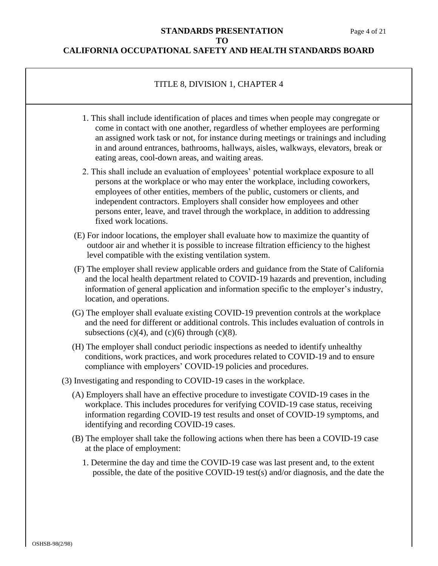#### **CALIFORNIA OCCUPATIONAL SAFETY AND HEALTH STANDARDS BOARD**

### TITLE 8, DIVISION 1, CHAPTER 4

- 1. This shall include identification of places and times when people may congregate or come in contact with one another, regardless of whether employees are performing an assigned work task or not, for instance during meetings or trainings and including in and around entrances, bathrooms, hallways, aisles, walkways, elevators, break or eating areas, cool-down areas, and waiting areas.
- 2. This shall include an evaluation of employees' potential workplace exposure to all persons at the workplace or who may enter the workplace, including coworkers, employees of other entities, members of the public, customers or clients, and independent contractors. Employers shall consider how employees and other persons enter, leave, and travel through the workplace, in addition to addressing fixed work locations.
- (E) For indoor locations, the employer shall evaluate how to maximize the quantity of outdoor air and whether it is possible to increase filtration efficiency to the highest level compatible with the existing ventilation system.
- (F) The employer shall review applicable orders and guidance from the State of California and the local health department related to COVID-19 hazards and prevention, including information of general application and information specific to the employer's industry, location, and operations.
- (G) The employer shall evaluate existing COVID-19 prevention controls at the workplace and the need for different or additional controls. This includes evaluation of controls in subsections  $(c)(4)$ , and  $(c)(6)$  through  $(c)(8)$ .
- (H) The employer shall conduct periodic inspections as needed to identify unhealthy conditions, work practices, and work procedures related to COVID-19 and to ensure compliance with employers' COVID-19 policies and procedures.
- (3) Investigating and responding to COVID-19 cases in the workplace.
	- (A) Employers shall have an effective procedure to investigate COVID-19 cases in the workplace. This includes procedures for verifying COVID-19 case status, receiving information regarding COVID-19 test results and onset of COVID-19 symptoms, and identifying and recording COVID-19 cases.
	- (B) The employer shall take the following actions when there has been a COVID-19 case at the place of employment:
		- 1. Determine the day and time the COVID-19 case was last present and, to the extent possible, the date of the positive COVID-19 test(s) and/or diagnosis, and the date the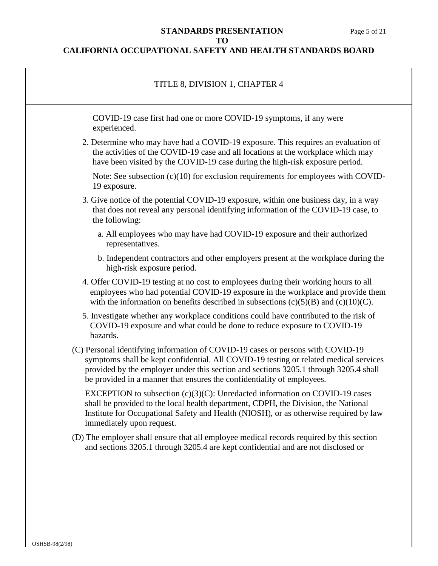### **STANDARDS PRESENTATION** Page 5 of 21 **TO**

| TITLE 8, DIVISION 1, CHAPTER 4                                                                                                                                                                                                                                                                                                             |
|--------------------------------------------------------------------------------------------------------------------------------------------------------------------------------------------------------------------------------------------------------------------------------------------------------------------------------------------|
| COVID-19 case first had one or more COVID-19 symptoms, if any were<br>experienced.                                                                                                                                                                                                                                                         |
| 2. Determine who may have had a COVID-19 exposure. This requires an evaluation of<br>the activities of the COVID-19 case and all locations at the workplace which may<br>have been visited by the COVID-19 case during the high-risk exposure period.                                                                                      |
| Note: See subsection $(c)(10)$ for exclusion requirements for employees with COVID-<br>19 exposure.                                                                                                                                                                                                                                        |
| 3. Give notice of the potential COVID-19 exposure, within one business day, in a way<br>that does not reveal any personal identifying information of the COVID-19 case, to<br>the following:                                                                                                                                               |
| a. All employees who may have had COVID-19 exposure and their authorized<br>representatives.                                                                                                                                                                                                                                               |
| b. Independent contractors and other employers present at the workplace during the<br>high-risk exposure period.                                                                                                                                                                                                                           |
| 4. Offer COVID-19 testing at no cost to employees during their working hours to all<br>employees who had potential COVID-19 exposure in the workplace and provide them<br>with the information on benefits described in subsections $(c)(5)(B)$ and $(c)(10)(C)$ .                                                                         |
| 5. Investigate whether any workplace conditions could have contributed to the risk of<br>COVID-19 exposure and what could be done to reduce exposure to COVID-19<br>hazards.                                                                                                                                                               |
| (C) Personal identifying information of COVID-19 cases or persons with COVID-19<br>symptoms shall be kept confidential. All COVID-19 testing or related medical services<br>provided by the employer under this section and sections 3205.1 through 3205.4 shall<br>be provided in a manner that ensures the confidentiality of employees. |
| EXCEPTION to subsection $(c)(3)(C)$ : Unredacted information on COVID-19 cases<br>shall be provided to the local health department, CDPH, the Division, the National<br>Institute for Occupational Safety and Health (NIOSH), or as otherwise required by law<br>immediately upon request.                                                 |
| (D) The employer shall ensure that all employee medical records required by this section<br>and sections 3205.1 through 3205.4 are kept confidential and are not disclosed or                                                                                                                                                              |
|                                                                                                                                                                                                                                                                                                                                            |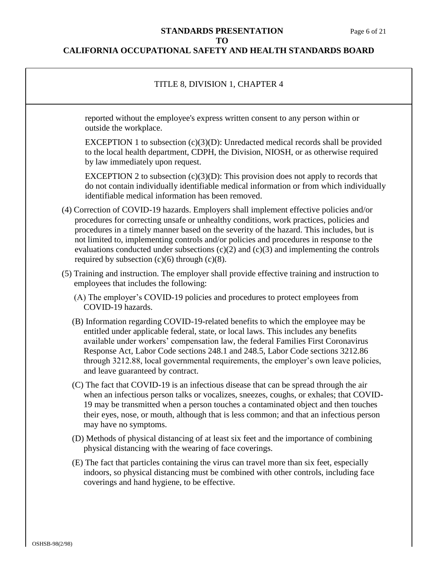#### **STANDARDS PRESENTATION** Page 6 of 21 **TO**

| TITLE 8, DIVISION 1, CHAPTER 4                                                                                                                                                                                                                                                                                                                                                                                                                                                                                                |
|-------------------------------------------------------------------------------------------------------------------------------------------------------------------------------------------------------------------------------------------------------------------------------------------------------------------------------------------------------------------------------------------------------------------------------------------------------------------------------------------------------------------------------|
| reported without the employee's express written consent to any person within or<br>outside the workplace.                                                                                                                                                                                                                                                                                                                                                                                                                     |
| EXCEPTION 1 to subsection $(c)(3)(D)$ : Unredacted medical records shall be provided<br>to the local health department, CDPH, the Division, NIOSH, or as otherwise required<br>by law immediately upon request.                                                                                                                                                                                                                                                                                                               |
| EXCEPTION 2 to subsection $(c)(3)(D)$ : This provision does not apply to records that<br>do not contain individually identifiable medical information or from which individually<br>identifiable medical information has been removed.                                                                                                                                                                                                                                                                                        |
| (4) Correction of COVID-19 hazards. Employers shall implement effective policies and/or<br>procedures for correcting unsafe or unhealthy conditions, work practices, policies and<br>procedures in a timely manner based on the severity of the hazard. This includes, but is<br>not limited to, implementing controls and/or policies and procedures in response to the<br>evaluations conducted under subsections $(c)(2)$ and $(c)(3)$ and implementing the controls<br>required by subsection $(c)(6)$ through $(c)(8)$ . |
| (5) Training and instruction. The employer shall provide effective training and instruction to<br>employees that includes the following:                                                                                                                                                                                                                                                                                                                                                                                      |
| (A) The employer's COVID-19 policies and procedures to protect employees from<br>COVID-19 hazards.                                                                                                                                                                                                                                                                                                                                                                                                                            |
| (B) Information regarding COVID-19-related benefits to which the employee may be<br>entitled under applicable federal, state, or local laws. This includes any benefits<br>available under workers' compensation law, the federal Families First Coronavirus<br>Response Act, Labor Code sections 248.1 and 248.5, Labor Code sections 3212.86<br>through 3212.88, local governmental requirements, the employer's own leave policies,<br>and leave guaranteed by contract.                                                   |
| (C) The fact that COVID-19 is an infectious disease that can be spread through the air<br>when an infectious person talks or vocalizes, sneezes, coughs, or exhales; that COVID-<br>19 may be transmitted when a person touches a contaminated object and then touches<br>their eyes, nose, or mouth, although that is less common; and that an infectious person<br>may have no symptoms.                                                                                                                                    |
| (D) Methods of physical distancing of at least six feet and the importance of combining<br>physical distancing with the wearing of face coverings.                                                                                                                                                                                                                                                                                                                                                                            |
| (E) The fact that particles containing the virus can travel more than six feet, especially<br>indoors, so physical distancing must be combined with other controls, including face<br>coverings and hand hygiene, to be effective.                                                                                                                                                                                                                                                                                            |
|                                                                                                                                                                                                                                                                                                                                                                                                                                                                                                                               |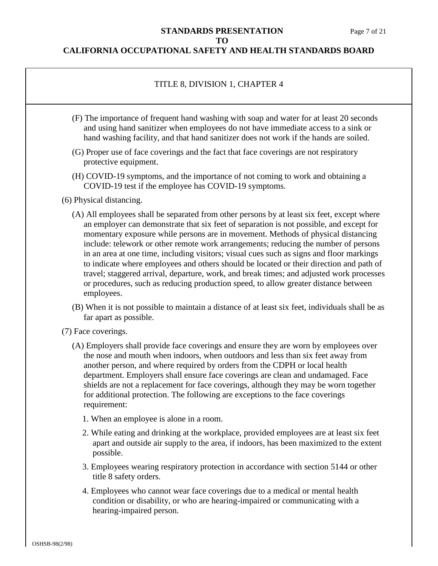### **STANDARDS PRESENTATION** Page 7 of 21 **TO**

### **CALIFORNIA OCCUPATIONAL SAFETY AND HEALTH STANDARDS BOARD**

# TITLE 8, DIVISION 1, CHAPTER 4

- (F) The importance of frequent hand washing with soap and water for at least 20 seconds and using hand sanitizer when employees do not have immediate access to a sink or hand washing facility, and that hand sanitizer does not work if the hands are soiled.
- (G) Proper use of face coverings and the fact that face coverings are not respiratory protective equipment.
- (H) COVID-19 symptoms, and the importance of not coming to work and obtaining a COVID-19 test if the employee has COVID-19 symptoms.
- (6) Physical distancing.
	- (A) All employees shall be separated from other persons by at least six feet, except where an employer can demonstrate that six feet of separation is not possible, and except for momentary exposure while persons are in movement. Methods of physical distancing include: telework or other remote work arrangements; reducing the number of persons in an area at one time, including visitors; visual cues such as signs and floor markings to indicate where employees and others should be located or their direction and path of travel; staggered arrival, departure, work, and break times; and adjusted work processes or procedures, such as reducing production speed, to allow greater distance between employees.
	- (B) When it is not possible to maintain a distance of at least six feet, individuals shall be as far apart as possible.
- (7) Face coverings.
	- (A) Employers shall provide face coverings and ensure they are worn by employees over the nose and mouth when indoors, when outdoors and less than six feet away from another person, and where required by orders from the CDPH or local health department. Employers shall ensure face coverings are clean and undamaged. Face shields are not a replacement for face coverings, although they may be worn together for additional protection. The following are exceptions to the face coverings requirement:
		- 1. When an employee is alone in a room.
		- 2. While eating and drinking at the workplace, provided employees are at least six feet apart and outside air supply to the area, if indoors, has been maximized to the extent possible.
		- 3. Employees wearing respiratory protection in accordance with section 5144 or other title 8 safety orders.
		- 4. Employees who cannot wear face coverings due to a medical or mental health condition or disability, or who are hearing-impaired or communicating with a hearing-impaired person.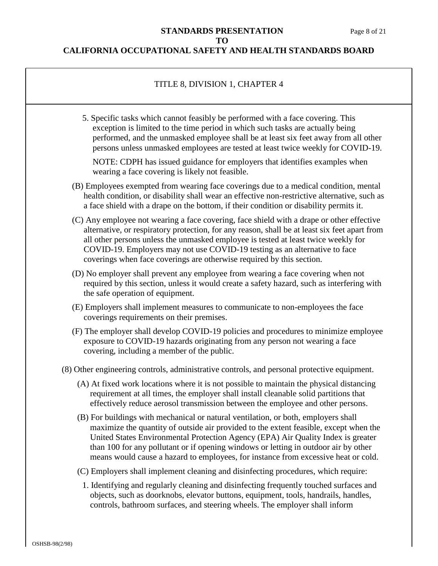### **STANDARDS PRESENTATION** Page 8 of 21 **TO**

### **CALIFORNIA OCCUPATIONAL SAFETY AND HEALTH STANDARDS BOARD**

### TITLE 8, DIVISION 1, CHAPTER 4

5. Specific tasks which cannot feasibly be performed with a face covering. This exception is limited to the time period in which such tasks are actually being performed, and the unmasked employee shall be at least six feet away from all other persons unless unmasked employees are tested at least twice weekly for COVID-19.

NOTE: CDPH has issued guidance for employers that identifies examples when wearing a face covering is likely not feasible.

- (B) Employees exempted from wearing face coverings due to a medical condition, mental health condition, or disability shall wear an effective non-restrictive alternative, such as a face shield with a drape on the bottom, if their condition or disability permits it.
- (C) Any employee not wearing a face covering, face shield with a drape or other effective alternative, or respiratory protection, for any reason, shall be at least six feet apart from all other persons unless the unmasked employee is tested at least twice weekly for COVID-19. Employers may not use COVID-19 testing as an alternative to face coverings when face coverings are otherwise required by this section.
- (D) No employer shall prevent any employee from wearing a face covering when not required by this section, unless it would create a safety hazard, such as interfering with the safe operation of equipment.
- (E) Employers shall implement measures to communicate to non-employees the face coverings requirements on their premises.
- (F) The employer shall develop COVID-19 policies and procedures to minimize employee exposure to COVID-19 hazards originating from any person not wearing a face covering, including a member of the public.
- (8) Other engineering controls, administrative controls, and personal protective equipment.
	- (A) At fixed work locations where it is not possible to maintain the physical distancing requirement at all times, the employer shall install cleanable solid partitions that effectively reduce aerosol transmission between the employee and other persons.
	- (B) For buildings with mechanical or natural ventilation, or both, employers shall maximize the quantity of outside air provided to the extent feasible, except when the United States Environmental Protection Agency (EPA) Air Quality Index is greater than 100 for any pollutant or if opening windows or letting in outdoor air by other means would cause a hazard to employees, for instance from excessive heat or cold.
	- (C) Employers shall implement cleaning and disinfecting procedures, which require:
	- 1. Identifying and regularly cleaning and disinfecting frequently touched surfaces and objects, such as doorknobs, elevator buttons, equipment, tools, handrails, handles, controls, bathroom surfaces, and steering wheels. The employer shall inform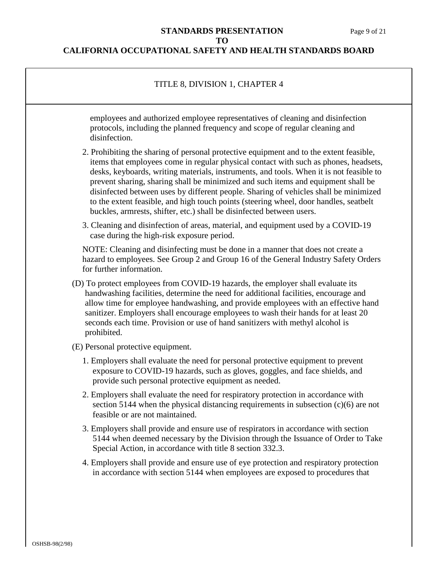$\overline{1}$ 

# **STANDARDS PRESENTATION** Page 9 of 21 **TO**

| TITLE 8, DIVISION 1, CHAPTER 4                                                                                                                                                                                                                                                                                                                                                                                                                                                                                                                                                                                            |
|---------------------------------------------------------------------------------------------------------------------------------------------------------------------------------------------------------------------------------------------------------------------------------------------------------------------------------------------------------------------------------------------------------------------------------------------------------------------------------------------------------------------------------------------------------------------------------------------------------------------------|
| employees and authorized employee representatives of cleaning and disinfection<br>protocols, including the planned frequency and scope of regular cleaning and<br>disinfection.                                                                                                                                                                                                                                                                                                                                                                                                                                           |
| 2. Prohibiting the sharing of personal protective equipment and to the extent feasible,<br>items that employees come in regular physical contact with such as phones, headsets,<br>desks, keyboards, writing materials, instruments, and tools. When it is not feasible to<br>prevent sharing, sharing shall be minimized and such items and equipment shall be<br>disinfected between uses by different people. Sharing of vehicles shall be minimized<br>to the extent feasible, and high touch points (steering wheel, door handles, seatbelt<br>buckles, armrests, shifter, etc.) shall be disinfected between users. |
| 3. Cleaning and disinfection of areas, material, and equipment used by a COVID-19<br>case during the high-risk exposure period.                                                                                                                                                                                                                                                                                                                                                                                                                                                                                           |
| NOTE: Cleaning and disinfecting must be done in a manner that does not create a<br>hazard to employees. See Group 2 and Group 16 of the General Industry Safety Orders<br>for further information.                                                                                                                                                                                                                                                                                                                                                                                                                        |
| (D) To protect employees from COVID-19 hazards, the employer shall evaluate its<br>handwashing facilities, determine the need for additional facilities, encourage and<br>allow time for employee handwashing, and provide employees with an effective hand<br>sanitizer. Employers shall encourage employees to wash their hands for at least 20<br>seconds each time. Provision or use of hand sanitizers with methyl alcohol is<br>prohibited.                                                                                                                                                                         |
| (E) Personal protective equipment.                                                                                                                                                                                                                                                                                                                                                                                                                                                                                                                                                                                        |
| 1. Employers shall evaluate the need for personal protective equipment to prevent<br>exposure to COVID-19 hazards, such as gloves, goggles, and face shields, and<br>provide such personal protective equipment as needed.                                                                                                                                                                                                                                                                                                                                                                                                |
| 2. Employers shall evaluate the need for respiratory protection in accordance with<br>section 5144 when the physical distancing requirements in subsection $(c)(6)$ are not<br>feasible or are not maintained.                                                                                                                                                                                                                                                                                                                                                                                                            |
| 3. Employers shall provide and ensure use of respirators in accordance with section<br>5144 when deemed necessary by the Division through the Issuance of Order to Take<br>Special Action, in accordance with title 8 section 332.3.                                                                                                                                                                                                                                                                                                                                                                                      |
| 4. Employers shall provide and ensure use of eye protection and respiratory protection<br>in accordance with section 5144 when employees are exposed to procedures that                                                                                                                                                                                                                                                                                                                                                                                                                                                   |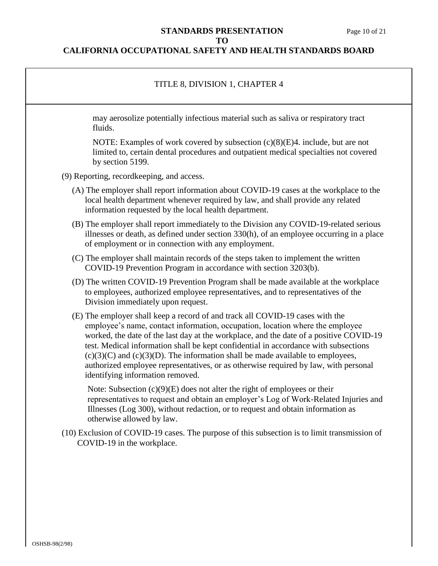#### **STANDARDS PRESENTATION** Page 10 of 21 **TO**

| TITLE 8, DIVISION 1, CHAPTER 4                                                                                                                                                                                                                                                                                                                                                                                                                                                                                                                                    |
|-------------------------------------------------------------------------------------------------------------------------------------------------------------------------------------------------------------------------------------------------------------------------------------------------------------------------------------------------------------------------------------------------------------------------------------------------------------------------------------------------------------------------------------------------------------------|
| may aerosolize potentially infectious material such as saliva or respiratory tract<br>fluids.                                                                                                                                                                                                                                                                                                                                                                                                                                                                     |
| NOTE: Examples of work covered by subsection $(c)(8)(E)4$ . include, but are not<br>limited to, certain dental procedures and outpatient medical specialties not covered<br>by section 5199.                                                                                                                                                                                                                                                                                                                                                                      |
| (9) Reporting, record keeping, and access.                                                                                                                                                                                                                                                                                                                                                                                                                                                                                                                        |
| (A) The employer shall report information about COVID-19 cases at the workplace to the<br>local health department whenever required by law, and shall provide any related<br>information requested by the local health department.                                                                                                                                                                                                                                                                                                                                |
| (B) The employer shall report immediately to the Division any COVID-19-related serious<br>illnesses or death, as defined under section 330(h), of an employee occurring in a place<br>of employment or in connection with any employment.                                                                                                                                                                                                                                                                                                                         |
| (C) The employer shall maintain records of the steps taken to implement the written<br>COVID-19 Prevention Program in accordance with section 3203(b).                                                                                                                                                                                                                                                                                                                                                                                                            |
| (D) The written COVID-19 Prevention Program shall be made available at the workplace<br>to employees, authorized employee representatives, and to representatives of the<br>Division immediately upon request.                                                                                                                                                                                                                                                                                                                                                    |
| (E) The employer shall keep a record of and track all COVID-19 cases with the<br>employee's name, contact information, occupation, location where the employee<br>worked, the date of the last day at the workplace, and the date of a positive COVID-19<br>test. Medical information shall be kept confidential in accordance with subsections<br>$(c)(3)(C)$ and $(c)(3)(D)$ . The information shall be made available to employees,<br>authorized employee representatives, or as otherwise required by law, with personal<br>identifying information removed. |
| Note: Subsection $(c)(9)(E)$ does not alter the right of employees or their<br>representatives to request and obtain an employer's Log of Work-Related Injuries and<br>Illnesses (Log 300), without redaction, or to request and obtain information as<br>otherwise allowed by law.                                                                                                                                                                                                                                                                               |
| (10) Exclusion of COVID-19 cases. The purpose of this subsection is to limit transmission of<br>COVID-19 in the workplace.                                                                                                                                                                                                                                                                                                                                                                                                                                        |
|                                                                                                                                                                                                                                                                                                                                                                                                                                                                                                                                                                   |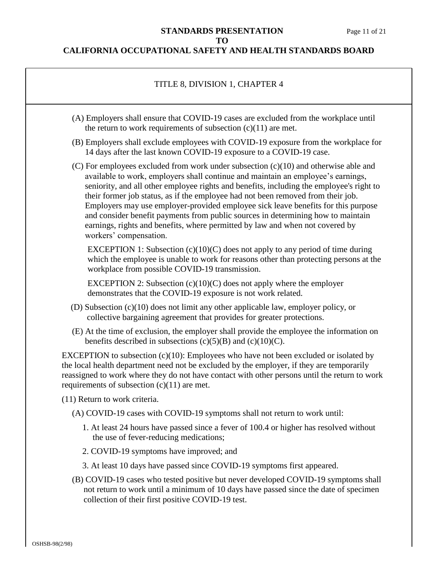٦

# **STANDARDS PRESENTATION** Page 11 of 21 **TO**

| TITLE 8, DIVISION 1, CHAPTER 4                                                                                                                                                                                                                                                                                                                                                                                                                                                                                                                                                                                                                   |
|--------------------------------------------------------------------------------------------------------------------------------------------------------------------------------------------------------------------------------------------------------------------------------------------------------------------------------------------------------------------------------------------------------------------------------------------------------------------------------------------------------------------------------------------------------------------------------------------------------------------------------------------------|
| (A) Employers shall ensure that COVID-19 cases are excluded from the workplace until<br>the return to work requirements of subsection $(c)(11)$ are met.                                                                                                                                                                                                                                                                                                                                                                                                                                                                                         |
| (B) Employers shall exclude employees with COVID-19 exposure from the workplace for<br>14 days after the last known COVID-19 exposure to a COVID-19 case.                                                                                                                                                                                                                                                                                                                                                                                                                                                                                        |
| $(C)$ For employees excluded from work under subsection $(c)(10)$ and otherwise able and<br>available to work, employers shall continue and maintain an employee's earnings,<br>seniority, and all other employee rights and benefits, including the employee's right to<br>their former job status, as if the employee had not been removed from their job.<br>Employers may use employer-provided employee sick leave benefits for this purpose<br>and consider benefit payments from public sources in determining how to maintain<br>earnings, rights and benefits, where permitted by law and when not covered by<br>workers' compensation. |
| EXCEPTION 1: Subsection $(c)(10)(C)$ does not apply to any period of time during<br>which the employee is unable to work for reasons other than protecting persons at the<br>workplace from possible COVID-19 transmission.                                                                                                                                                                                                                                                                                                                                                                                                                      |
| EXCEPTION 2: Subsection $(c)(10)(C)$ does not apply where the employer<br>demonstrates that the COVID-19 exposure is not work related.                                                                                                                                                                                                                                                                                                                                                                                                                                                                                                           |
| (D) Subsection $(c)(10)$ does not limit any other applicable law, employer policy, or<br>collective bargaining agreement that provides for greater protections.                                                                                                                                                                                                                                                                                                                                                                                                                                                                                  |
| (E) At the time of exclusion, the employer shall provide the employee the information on<br>benefits described in subsections $(c)(5)(B)$ and $(c)(10)(C)$ .                                                                                                                                                                                                                                                                                                                                                                                                                                                                                     |
| EXCEPTION to subsection $(c)(10)$ : Employees who have not been excluded or isolated by<br>the local health department need not be excluded by the employer, if they are temporarily<br>reassigned to work where they do not have contact with other persons until the return to work<br>requirements of subsection $(c)(11)$ are met.                                                                                                                                                                                                                                                                                                           |
| (11) Return to work criteria.                                                                                                                                                                                                                                                                                                                                                                                                                                                                                                                                                                                                                    |
| (A) COVID-19 cases with COVID-19 symptoms shall not return to work until:                                                                                                                                                                                                                                                                                                                                                                                                                                                                                                                                                                        |
| 1. At least 24 hours have passed since a fever of 100.4 or higher has resolved without<br>the use of fever-reducing medications;                                                                                                                                                                                                                                                                                                                                                                                                                                                                                                                 |
| 2. COVID-19 symptoms have improved; and                                                                                                                                                                                                                                                                                                                                                                                                                                                                                                                                                                                                          |
| 3. At least 10 days have passed since COVID-19 symptoms first appeared.                                                                                                                                                                                                                                                                                                                                                                                                                                                                                                                                                                          |
| (B) COVID-19 cases who tested positive but never developed COVID-19 symptoms shall<br>not return to work until a minimum of 10 days have passed since the date of specimen<br>collection of their first positive COVID-19 test.                                                                                                                                                                                                                                                                                                                                                                                                                  |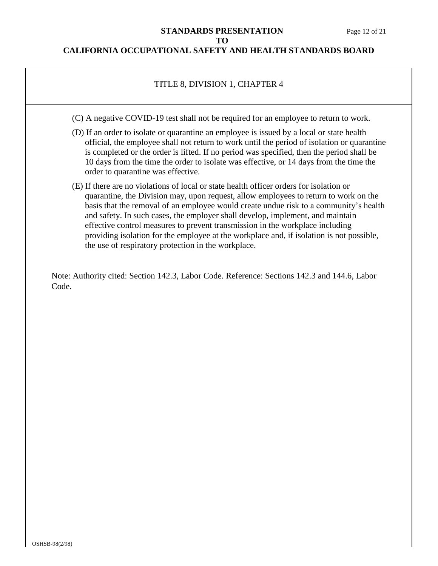### **STANDARDS PRESENTATION** Page 12 of 21 **TO**

### **CALIFORNIA OCCUPATIONAL SAFETY AND HEALTH STANDARDS BOARD**

### TITLE 8, DIVISION 1, CHAPTER 4

- (C) A negative COVID-19 test shall not be required for an employee to return to work.
- (D) If an order to isolate or quarantine an employee is issued by a local or state health official, the employee shall not return to work until the period of isolation or quarantine is completed or the order is lifted. If no period was specified, then the period shall be 10 days from the time the order to isolate was effective, or 14 days from the time the order to quarantine was effective.
- (E) If there are no violations of local or state health officer orders for isolation or quarantine, the Division may, upon request, allow employees to return to work on the basis that the removal of an employee would create undue risk to a community's health and safety. In such cases, the employer shall develop, implement, and maintain effective control measures to prevent transmission in the workplace including providing isolation for the employee at the workplace and, if isolation is not possible, the use of respiratory protection in the workplace.

Note: Authority cited: Section 142.3, Labor Code. Reference: Sections 142.3 and 144.6, Labor Code.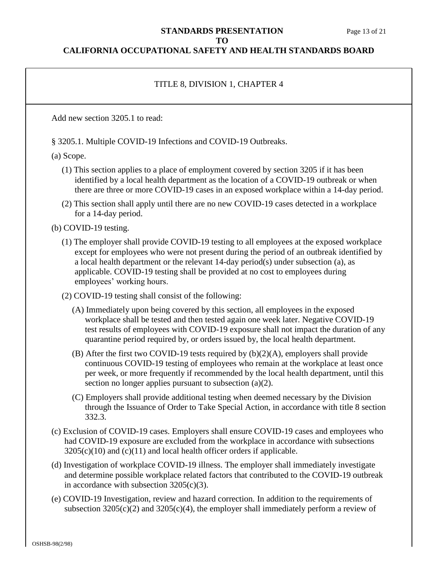#### **STANDARDS PRESENTATION** Page 13 of 21 **TO**

#### **CALIFORNIA OCCUPATIONAL SAFETY AND HEALTH STANDARDS BOARD**

### TITLE 8, DIVISION 1, CHAPTER 4

Add new section 3205.1 to read:

§ 3205.1. Multiple COVID-19 Infections and COVID-19 Outbreaks.

(a) Scope.

- (1) This section applies to a place of employment covered by section 3205 if it has been identified by a local health department as the location of a COVID-19 outbreak or when there are three or more COVID-19 cases in an exposed workplace within a 14-day period.
- (2) This section shall apply until there are no new COVID-19 cases detected in a workplace for a 14-day period.

(b) COVID-19 testing.

- (1) The employer shall provide COVID-19 testing to all employees at the exposed workplace except for employees who were not present during the period of an outbreak identified by a local health department or the relevant 14-day period(s) under subsection (a), as applicable. COVID-19 testing shall be provided at no cost to employees during employees' working hours.
- (2) COVID-19 testing shall consist of the following:
	- (A) Immediately upon being covered by this section, all employees in the exposed workplace shall be tested and then tested again one week later. Negative COVID-19 test results of employees with COVID-19 exposure shall not impact the duration of any quarantine period required by, or orders issued by, the local health department.
	- (B) After the first two COVID-19 tests required by (b)(2)(A), employers shall provide continuous COVID-19 testing of employees who remain at the workplace at least once per week, or more frequently if recommended by the local health department, until this section no longer applies pursuant to subsection (a)(2).
	- (C) Employers shall provide additional testing when deemed necessary by the Division through the Issuance of Order to Take Special Action, in accordance with title 8 section 332.3.
- (c) Exclusion of COVID-19 cases. Employers shall ensure COVID-19 cases and employees who had COVID-19 exposure are excluded from the workplace in accordance with subsections  $3205(c)(10)$  and  $(c)(11)$  and local health officer orders if applicable.
- (d) Investigation of workplace COVID-19 illness. The employer shall immediately investigate and determine possible workplace related factors that contributed to the COVID-19 outbreak in accordance with subsection 3205(c)(3).
- (e) COVID-19 Investigation, review and hazard correction. In addition to the requirements of subsection  $3205(c)(2)$  and  $3205(c)(4)$ , the employer shall immediately perform a review of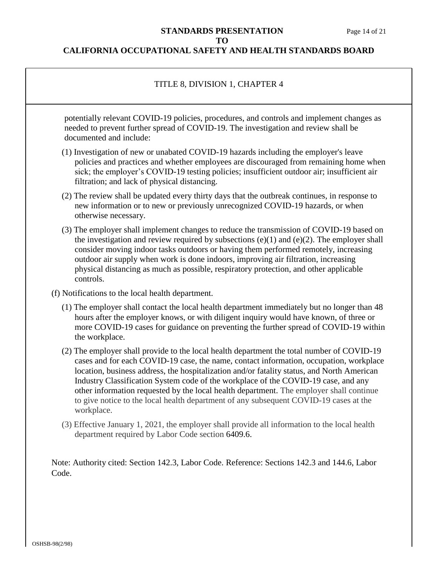### **STANDARDS PRESENTATION** Page 14 of 21 **TO**

### **CALIFORNIA OCCUPATIONAL SAFETY AND HEALTH STANDARDS BOARD**

# TITLE 8, DIVISION 1, CHAPTER 4

potentially relevant COVID-19 policies, procedures, and controls and implement changes as needed to prevent further spread of COVID-19. The investigation and review shall be documented and include:

- (1) Investigation of new or unabated COVID-19 hazards including the employer's leave policies and practices and whether employees are discouraged from remaining home when sick; the employer's COVID-19 testing policies; insufficient outdoor air; insufficient air filtration; and lack of physical distancing.
- (2) The review shall be updated every thirty days that the outbreak continues, in response to new information or to new or previously unrecognized COVID-19 hazards, or when otherwise necessary.
- (3) The employer shall implement changes to reduce the transmission of COVID-19 based on the investigation and review required by subsections  $(e)(1)$  and  $(e)(2)$ . The employer shall consider moving indoor tasks outdoors or having them performed remotely, increasing outdoor air supply when work is done indoors, improving air filtration, increasing physical distancing as much as possible, respiratory protection, and other applicable controls.
- (f) Notifications to the local health department.
	- (1) The employer shall contact the local health department immediately but no longer than 48 hours after the employer knows, or with diligent inquiry would have known, of three or more COVID-19 cases for guidance on preventing the further spread of COVID-19 within the workplace.
	- (2) The employer shall provide to the local health department the total number of COVID-19 cases and for each COVID-19 case, the name, contact information, occupation, workplace location, business address, the hospitalization and/or fatality status, and North American Industry Classification System code of the workplace of the COVID-19 case, and any other information requested by the local health department. The employer shall continue to give notice to the local health department of any subsequent COVID-19 cases at the workplace.
	- (3) Effective January 1, 2021, the employer shall provide all information to the local health department required by Labor Code section 6409.6.

Note: Authority cited: Section 142.3, Labor Code. Reference: Sections 142.3 and 144.6, Labor Code.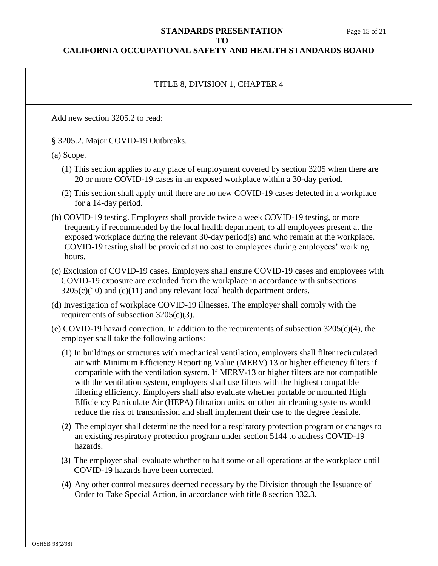#### **STANDARDS PRESENTATION** Page 15 of 21 **TO**

#### **CALIFORNIA OCCUPATIONAL SAFETY AND HEALTH STANDARDS BOARD**

### TITLE 8, DIVISION 1, CHAPTER 4

Add new section 3205.2 to read:

§ 3205.2. Major COVID-19 Outbreaks.

(a) Scope.

- (1) This section applies to any place of employment covered by section 3205 when there are 20 or more COVID-19 cases in an exposed workplace within a 30-day period.
- (2) This section shall apply until there are no new COVID-19 cases detected in a workplace for a 14-day period.
- (b) COVID-19 testing. Employers shall provide twice a week COVID-19 testing, or more frequently if recommended by the local health department, to all employees present at the exposed workplace during the relevant 30-day period(s) and who remain at the workplace. COVID-19 testing shall be provided at no cost to employees during employees' working hours.
- (c) Exclusion of COVID-19 cases. Employers shall ensure COVID-19 cases and employees with COVID-19 exposure are excluded from the workplace in accordance with subsections  $3205(c)(10)$  and  $(c)(11)$  and any relevant local health department orders.
- (d) Investigation of workplace COVID-19 illnesses. The employer shall comply with the requirements of subsection  $3205(c)(3)$ .
- (e) COVID-19 hazard correction. In addition to the requirements of subsection 3205(c)(4), the employer shall take the following actions:
	- (1) In buildings or structures with mechanical ventilation, employers shall filter recirculated air with Minimum Efficiency Reporting Value (MERV) 13 or higher efficiency filters if compatible with the ventilation system. If MERV-13 or higher filters are not compatible with the ventilation system, employers shall use filters with the highest compatible filtering efficiency. Employers shall also evaluate whether portable or mounted High Efficiency Particulate Air (HEPA) filtration units, or other air cleaning systems would reduce the risk of transmission and shall implement their use to the degree feasible.
	- (2) The employer shall determine the need for a respiratory protection program or changes to an existing respiratory protection program under section 5144 to address COVID-19 hazards.
	- (3) The employer shall evaluate whether to halt some or all operations at the workplace until COVID-19 hazards have been corrected.
	- (4) Any other control measures deemed necessary by the Division through the Issuance of Order to Take Special Action, in accordance with title 8 section 332.3.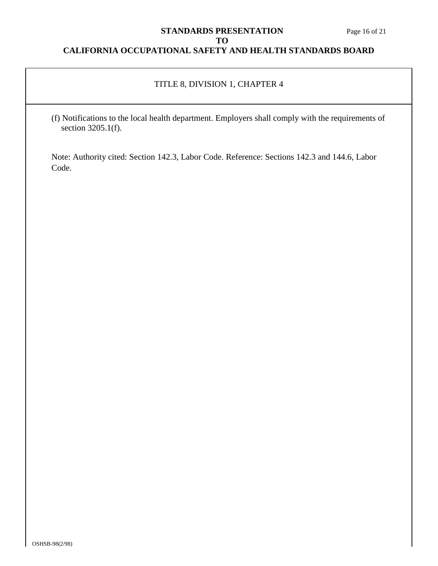# **STANDARDS PRESENTATION** Page 16 of 21 **TO**

# **CALIFORNIA OCCUPATIONAL SAFETY AND HEALTH STANDARDS BOARD**

# TITLE 8, DIVISION 1, CHAPTER 4

(f) Notifications to the local health department. Employers shall comply with the requirements of section 3205.1(f).

Note: Authority cited: Section 142.3, Labor Code. Reference: Sections 142.3 and 144.6, Labor Code.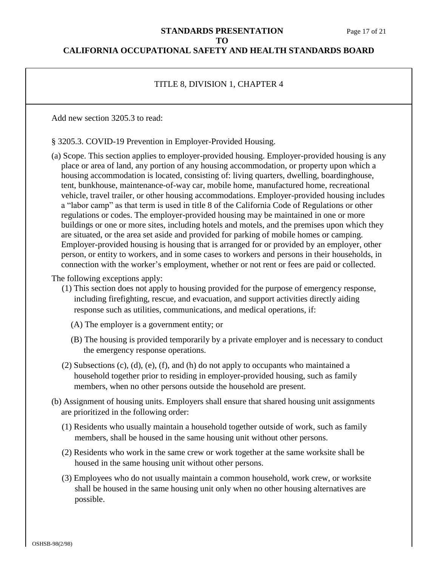# **STANDARDS PRESENTATION** Page 17 of 21 **TO**

### **CALIFORNIA OCCUPATIONAL SAFETY AND HEALTH STANDARDS BOARD**

# TITLE 8, DIVISION 1, CHAPTER 4

Add new section 3205.3 to read:

§ 3205.3. COVID-19 Prevention in Employer-Provided Housing.

(a) Scope. This section applies to employer-provided housing. Employer-provided housing is any place or area of land, any portion of any housing accommodation, or property upon which a housing accommodation is located, consisting of: living quarters, dwelling, boardinghouse, tent, bunkhouse, maintenance-of-way car, mobile home, manufactured home, recreational vehicle, travel trailer, or other housing accommodations. Employer-provided housing includes a "labor camp" as that term is used in title 8 of the California Code of Regulations or other regulations or codes. The employer-provided housing may be maintained in one or more buildings or one or more sites, including hotels and motels, and the premises upon which they are situated, or the area set aside and provided for parking of mobile homes or camping. Employer-provided housing is housing that is arranged for or provided by an employer, other person, or entity to workers, and in some cases to workers and persons in their households, in connection with the worker's employment, whether or not rent or fees are paid or collected.

The following exceptions apply:

- (1) This section does not apply to housing provided for the purpose of emergency response, including firefighting, rescue, and evacuation, and support activities directly aiding response such as utilities, communications, and medical operations, if:
	- (A) The employer is a government entity; or
	- (B) The housing is provided temporarily by a private employer and is necessary to conduct the emergency response operations.
- (2) Subsections (c), (d), (e), (f), and (h) do not apply to occupants who maintained a household together prior to residing in employer-provided housing, such as family members, when no other persons outside the household are present.
- (b) Assignment of housing units. Employers shall ensure that shared housing unit assignments are prioritized in the following order:
	- (1) Residents who usually maintain a household together outside of work, such as family members, shall be housed in the same housing unit without other persons.
	- (2) Residents who work in the same crew or work together at the same worksite shall be housed in the same housing unit without other persons.
	- (3) Employees who do not usually maintain a common household, work crew, or worksite shall be housed in the same housing unit only when no other housing alternatives are possible.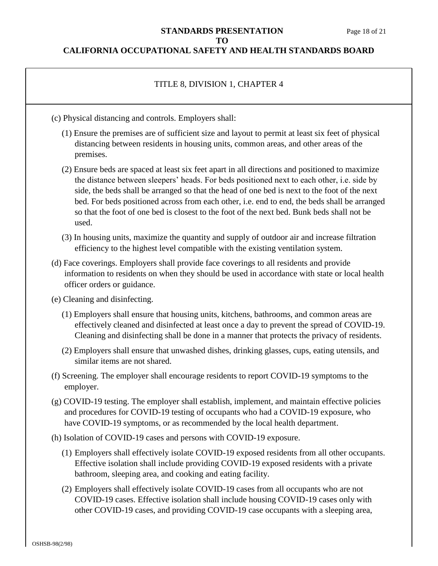### **STANDARDS PRESENTATION** Page 18 of 21 **TO**

## **CALIFORNIA OCCUPATIONAL SAFETY AND HEALTH STANDARDS BOARD**

# TITLE 8, DIVISION 1, CHAPTER 4

- (c) Physical distancing and controls. Employers shall:
	- (1) Ensure the premises are of sufficient size and layout to permit at least six feet of physical distancing between residents in housing units, common areas, and other areas of the premises.
	- (2) Ensure beds are spaced at least six feet apart in all directions and positioned to maximize the distance between sleepers' heads. For beds positioned next to each other, i.e. side by side, the beds shall be arranged so that the head of one bed is next to the foot of the next bed. For beds positioned across from each other, i.e. end to end, the beds shall be arranged so that the foot of one bed is closest to the foot of the next bed. Bunk beds shall not be used.
	- (3) In housing units, maximize the quantity and supply of outdoor air and increase filtration efficiency to the highest level compatible with the existing ventilation system.
- (d) Face coverings. Employers shall provide face coverings to all residents and provide information to residents on when they should be used in accordance with state or local health officer orders or guidance.
- (e) Cleaning and disinfecting.
	- (1) Employers shall ensure that housing units, kitchens, bathrooms, and common areas are effectively cleaned and disinfected at least once a day to prevent the spread of COVID-19. Cleaning and disinfecting shall be done in a manner that protects the privacy of residents.
	- (2) Employers shall ensure that unwashed dishes, drinking glasses, cups, eating utensils, and similar items are not shared.
- (f) Screening. The employer shall encourage residents to report COVID-19 symptoms to the employer.
- (g) COVID-19 testing. The employer shall establish, implement, and maintain effective policies and procedures for COVID-19 testing of occupants who had a COVID-19 exposure, who have COVID-19 symptoms, or as recommended by the local health department.
- (h) Isolation of COVID-19 cases and persons with COVID-19 exposure.
	- (1) Employers shall effectively isolate COVID-19 exposed residents from all other occupants. Effective isolation shall include providing COVID-19 exposed residents with a private bathroom, sleeping area, and cooking and eating facility.
	- (2) Employers shall effectively isolate COVID-19 cases from all occupants who are not COVID-19 cases. Effective isolation shall include housing COVID-19 cases only with other COVID-19 cases, and providing COVID-19 case occupants with a sleeping area,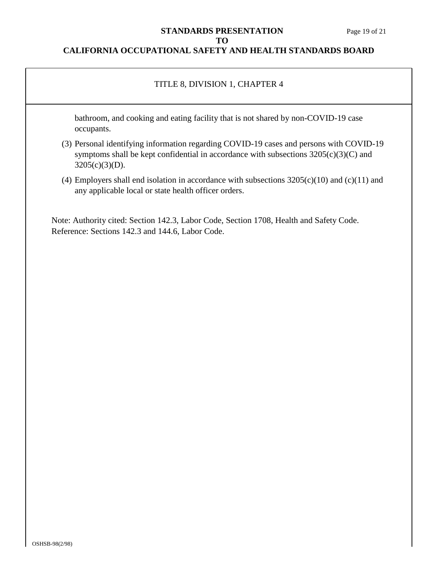#### **STANDARDS PRESENTATION** Page 19 of 21 **TO**

### **CALIFORNIA OCCUPATIONAL SAFETY AND HEALTH STANDARDS BOARD**

## TITLE 8, DIVISION 1, CHAPTER 4

bathroom, and cooking and eating facility that is not shared by non-COVID-19 case occupants.

- (3) Personal identifying information regarding COVID-19 cases and persons with COVID-19 symptoms shall be kept confidential in accordance with subsections  $3205(c)(3)(C)$  and 3205(c)(3)(D).
- (4) Employers shall end isolation in accordance with subsections  $3205(c)(10)$  and (c)(11) and any applicable local or state health officer orders.

Note: Authority cited: Section 142.3, Labor Code, Section 1708, Health and Safety Code. Reference: Sections 142.3 and 144.6, Labor Code.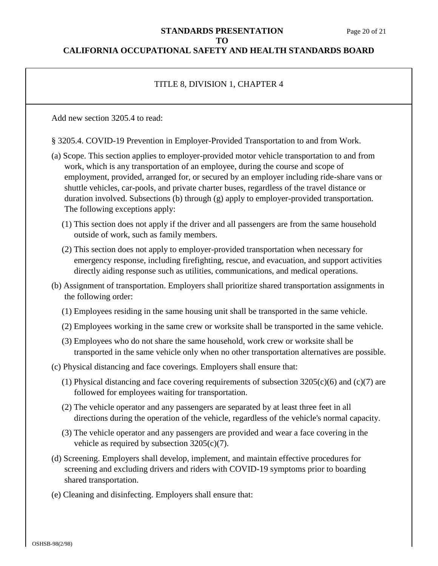# **STANDARDS PRESENTATION** Page 20 of 21 **TO**

# **CALIFORNIA OCCUPATIONAL SAFETY AND HEALTH STANDARDS BOARD**

# TITLE 8, DIVISION 1, CHAPTER 4

Add new section 3205.4 to read:

§ 3205.4. COVID-19 Prevention in Employer-Provided Transportation to and from Work.

- (a) Scope. This section applies to employer-provided motor vehicle transportation to and from work, which is any transportation of an employee, during the course and scope of employment, provided, arranged for, or secured by an employer including ride-share vans or shuttle vehicles, car-pools, and private charter buses, regardless of the travel distance or duration involved. Subsections (b) through (g) apply to employer-provided transportation. The following exceptions apply:
	- (1) This section does not apply if the driver and all passengers are from the same household outside of work, such as family members.
	- (2) This section does not apply to employer-provided transportation when necessary for emergency response, including firefighting, rescue, and evacuation, and support activities directly aiding response such as utilities, communications, and medical operations.
- (b) Assignment of transportation. Employers shall prioritize shared transportation assignments in the following order:
	- (1) Employees residing in the same housing unit shall be transported in the same vehicle.
	- (2) Employees working in the same crew or worksite shall be transported in the same vehicle.
	- (3) Employees who do not share the same household, work crew or worksite shall be transported in the same vehicle only when no other transportation alternatives are possible.
- (c) Physical distancing and face coverings. Employers shall ensure that:
	- (1) Physical distancing and face covering requirements of subsection 3205(c)(6) and (c)(7) are followed for employees waiting for transportation.
	- (2) The vehicle operator and any passengers are separated by at least three feet in all directions during the operation of the vehicle, regardless of the vehicle's normal capacity.
	- (3) The vehicle operator and any passengers are provided and wear a face covering in the vehicle as required by subsection 3205(c)(7).
- (d) Screening. Employers shall develop, implement, and maintain effective procedures for screening and excluding drivers and riders with COVID-19 symptoms prior to boarding shared transportation.
- (e) Cleaning and disinfecting. Employers shall ensure that: